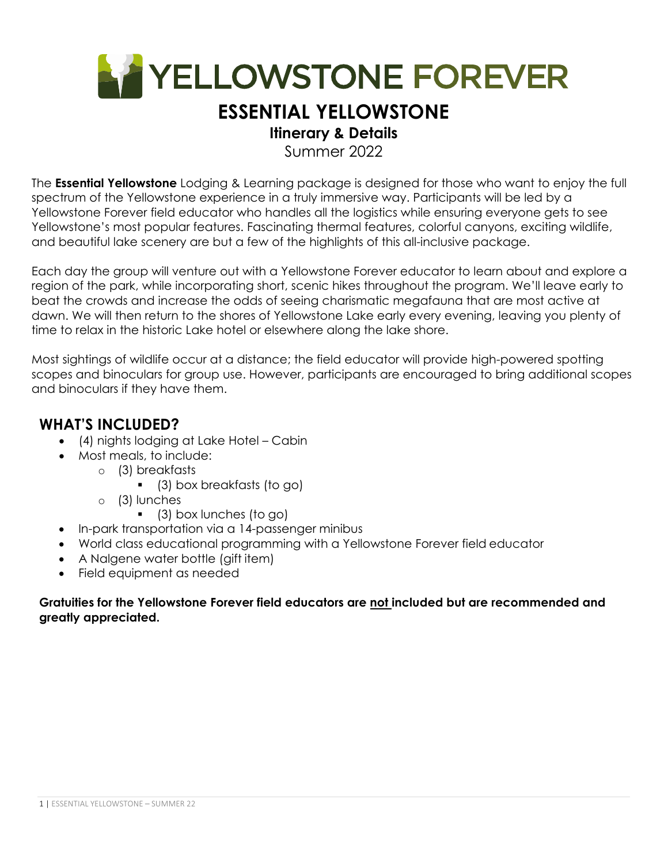**AY YELLOWSTONE FOREVER** 

# **ESSENTIAL YELLOWSTONE**

# **Itinerary & Details**

Summer 2022

The **Essential Yellowstone** Lodging & Learning package is designed for those who want to enjoy the full spectrum of the Yellowstone experience in a truly immersive way. Participants will be led by a Yellowstone Forever field educator who handles all the logistics while ensuring everyone gets to see Yellowstone's most popular features. Fascinating thermal features, colorful canyons, exciting wildlife, and beautiful lake scenery are but a few of the highlights of this all-inclusive package.

Each day the group will venture out with a Yellowstone Forever educator to learn about and explore a region of the park, while incorporating short, scenic hikes throughout the program. We'll leave early to beat the crowds and increase the odds of seeing charismatic megafauna that are most active at dawn. We will then return to the shores of Yellowstone Lake early every evening, leaving you plenty of time to relax in the historic Lake hotel or elsewhere along the lake shore.

Most sightings of wildlife occur at a distance; the field educator will provide high-powered spotting scopes and binoculars for group use. However, participants are encouraged to bring additional scopes and binoculars if they have them.

## **WHAT'S INCLUDED?**

- (4) nights lodging at Lake Hotel Cabin
- Most meals, to include:
	- o (3) breakfasts
		- (3) box breakfasts (to go)
	- o (3) lunches
		- (3) box lunches (to go)
- In-park transportation via a 14-passenger minibus
- World class educational programming with a Yellowstone Forever field educator
- A Nalgene water bottle (gift item)
- Field equipment as needed

## **Gratuities for the Yellowstone Forever field educators are not included but are recommended and greatly appreciated.**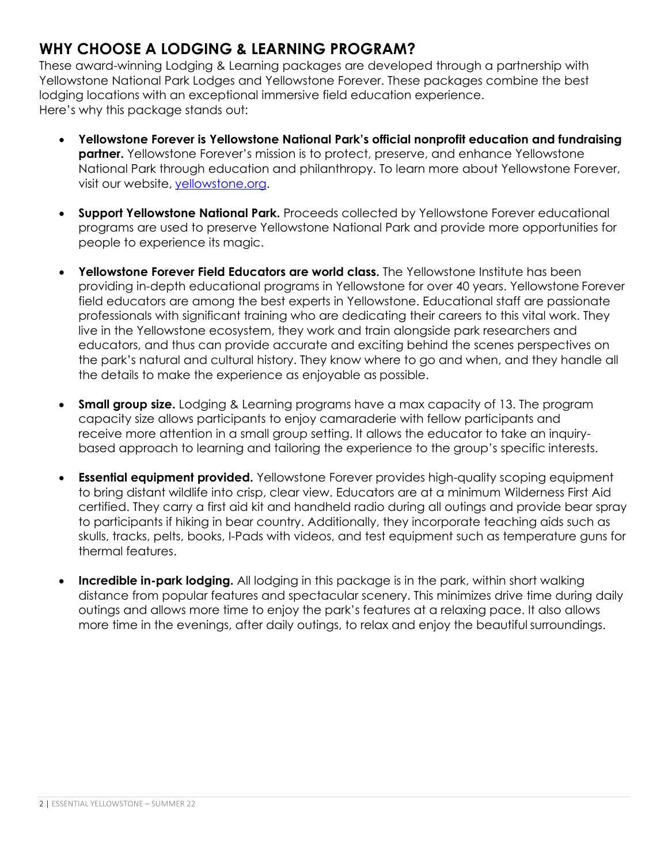## **WHY CHOOSE A LODGING & LEARNING PROGRAM?**

These award-winning Lodging & Learning packages are developed through a partnership with Yellowstone National Park Lodges and Yellowstone Forever. These packages combine the best lodging locations with an exceptional immersive field education experience. Here's why this package stands out:

- **Yellowstone Forever is Yellowstone National Park's official nonprofit education and fundraising partner.** Yellowstone Forever's mission is to protect, preserve, and enhance Yellowstone National Park through education and philanthropy. To learn more about Yellowstone Forever, visit our website, yellowstone.org.
- **Support Yellowstone National Park.** Proceeds collected by Yellowstone Forever educational programs are used to preserve Yellowstone National Park and provide more opportunities for people to experience its magic.
- **Yellowstone Forever Field Educators are world class.** The Yellowstone Institute has been providing in-depth educational programs in Yellowstone for over 40 years. Yellowstone Forever field educators are among the best experts in Yellowstone. Educational staff are passionate professionals with significant training who are dedicating their careers to this vital work. They live in the Yellowstone ecosystem, they work and train alongside park researchers and educators, and thus can provide accurate and exciting behind the scenes perspectives on the park's natural and cultural history. They know where to go and when, and they handle all the details to make the experience as enjoyable as possible.
- **Small group size.** Lodging & Learning programs have a max capacity of 13. The program capacity size allows participants to enjoy camaraderie with fellow participants and receive more attention in a small group setting. It allows the educator to take an inquirybased approach to learning and tailoring the experience to the group's specific interests.
- **Essential equipment provided.** Yellowstone Forever provides high-quality scoping equipment to bring distant wildlife into crisp, clear view. Educators are at a minimum Wilderness First Aid certified. They carry a first aid kit and handheld radio during all outings and provide bear spray to participants if hiking in bear country. Additionally, they incorporate teaching aids such as skulls, tracks, pelts, books, I-Pads with videos, and test equipment such as temperature guns for thermal features.
- **Incredible in-park lodging.** All lodging in this package is in the park, within short walking distance from popular features and spectacular scenery. This minimizes drive time during daily outings and allows more time to enjoy the park's features at a relaxing pace. It also allows more time in the evenings, after daily outings, to relax and enjoy the beautiful surroundings.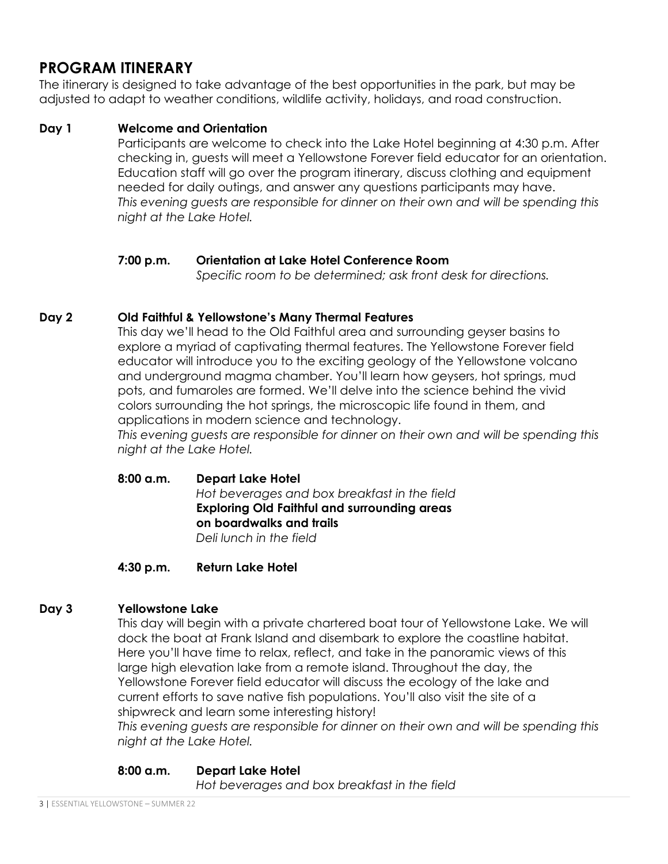## **PROGRAM ITINERARY**

The itinerary is designed to take advantage of the best opportunities in the park, but may be adjusted to adapt to weather conditions, wildlife activity, holidays, and road construction.

## **Day 1 Welcome and Orientation**

Participants are welcome to check into the Lake Hotel beginning at 4:30 p.m. After checking in, guests will meet a Yellowstone Forever field educator for an orientation. Education staff will go over the program itinerary, discuss clothing and equipment needed for daily outings, and answer any questions participants may have. *This evening guests are responsible for dinner on their own and will be spending this night at the Lake Hotel.* 

## **7:00 p.m. Orientation at Lake Hotel Conference Room**

*Specific room to be determined; ask front desk for directions.* 

## **Day 2 Old Faithful & Yellowstone's Many Thermal Features**

This day we'll head to the Old Faithful area and surrounding geyser basins to explore a myriad of captivating thermal features. The Yellowstone Forever field educator will introduce you to the exciting geology of the Yellowstone volcano and underground magma chamber. You'll learn how geysers, hot springs, mud pots, and fumaroles are formed. We'll delve into the science behind the vivid colors surrounding the hot springs, the microscopic life found in them, and applications in modern science and technology.

*This evening guests are responsible for dinner on their own and will be spending this night at the Lake Hotel.* 

**8:00 a.m. Depart Lake Hotel**  *Hot beverages and box breakfast in the field*  **Exploring Old Faithful and surrounding areas on boardwalks and trails**  *Deli lunch in the field* 

### **4:30 p.m. Return Lake Hotel**

## **Day 3 Yellowstone Lake**

This day will begin with a private chartered boat tour of Yellowstone Lake. We will dock the boat at Frank Island and disembark to explore the coastline habitat. Here you'll have time to relax, reflect, and take in the panoramic views of this large high elevation lake from a remote island. Throughout the day, the Yellowstone Forever field educator will discuss the ecology of the lake and current efforts to save native fish populations. You'll also visit the site of a shipwreck and learn some interesting history!

*This evening guests are responsible for dinner on their own and will be spending this night at the Lake Hotel.* 

### **8:00 a.m. Depart Lake Hotel**

*Hot beverages and box breakfast in the field*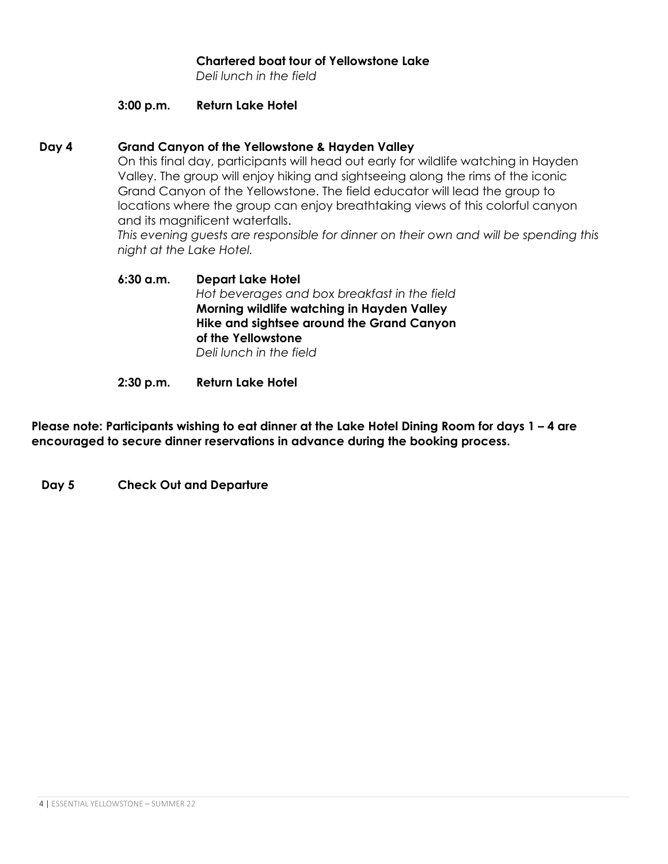### **Chartered boat tour of Yellowstone Lake**

*Deli lunch in the field* 

#### **3:00 p.m. Return Lake Hotel**

### **Day 4 Grand Canyon of the Yellowstone & Hayden Valley**

On this final day, participants will head out early for wildlife watching in Hayden Valley. The group will enjoy hiking and sightseeing along the rims of the iconic Grand Canyon of the Yellowstone. The field educator will lead the group to locations where the group can enjoy breathtaking views of this colorful canyon and its magnificent waterfalls.

*This evening guests are responsible for dinner on their own and will be spending this night at the Lake Hotel.* 

### **6:30 a.m. Depart Lake Hotel**  *Hot beverages and box breakfast in the field*  **Morning wildlife watching in Hayden Valley Hike and sightsee around the Grand Canyon of the Yellowstone**  *Deli lunch in the field*

#### **2:30 p.m. Return Lake Hotel**

**Please note: Participants wishing to eat dinner at the Lake Hotel Dining Room for days 1 – 4 are encouraged to secure dinner reservations in advance during the booking process.** 

**Day 5 Check Out and Departure**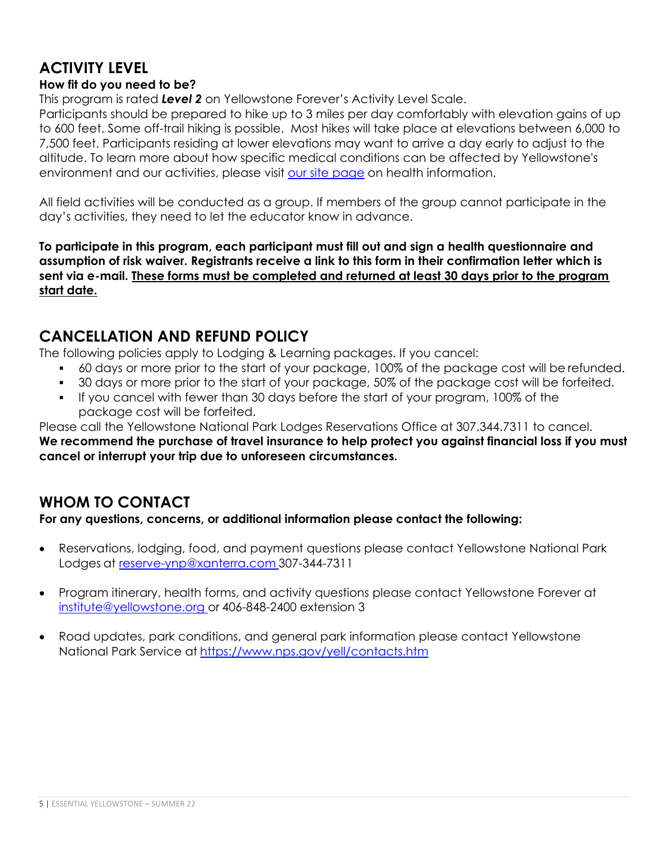# **ACTIVITY LEVEL**

### **How fit do you need to be?**

This program is rated *Level 2* on Yellowstone Forever's Activity Level Scale.

Participants should be prepared to hike up to 3 miles per day comfortably with elevation gains of up to 600 feet. Some off-trail hiking is possible. Most hikes will take place at elevations between 6,000 to 7,500 feet. Participants residing at lower elevations may want to arrive a day early to adjust to the altitude. To learn more about how specific medical conditions can be affected by Yellowstone's environment and our activities, please visit our site page on health information.

All field activities will be conducted as a group. If members of the group cannot participate in the day's activities, they need to let the educator know in advance.

**To participate in this program, each participant must fill out and sign a health questionnaire and assumption of risk waiver. Registrants receive a link to this form in their confirmation letter which is sent via e-mail. These forms must be completed and returned at least 30 days prior to the program start date.** 

## **CANCELLATION AND REFUND POLICY**

The following policies apply to Lodging & Learning packages. If you cancel:

- 60 days or more prior to the start of your package, 100% of the package cost will be refunded.
- 30 days or more prior to the start of your package, 50% of the package cost will be forfeited.
- If you cancel with fewer than 30 days before the start of your program, 100% of the package cost will be forfeited.

Please call the Yellowstone National Park Lodges Reservations Office at 307.344.7311 to cancel. **We recommend the purchase of travel insurance to help protect you against financial loss if you must cancel or interrupt your trip due to unforeseen circumstances.** 

## **WHOM TO CONTACT**

**For any questions, concerns, or additional information please contact the following:** 

- Reservations, lodging, food, and payment questions please contact Yellowstone National Park Lodges at reserve-ynp@xanterra.com 307-344-7311
- Program itinerary, health forms, and activity questions please contact Yellowstone Forever at institute@yellowstone.org or 406-848-2400 extension 3
- Road updates, park conditions, and general park information please contact Yellowstone National Park Service at https://www.nps.gov/yell/contacts.htm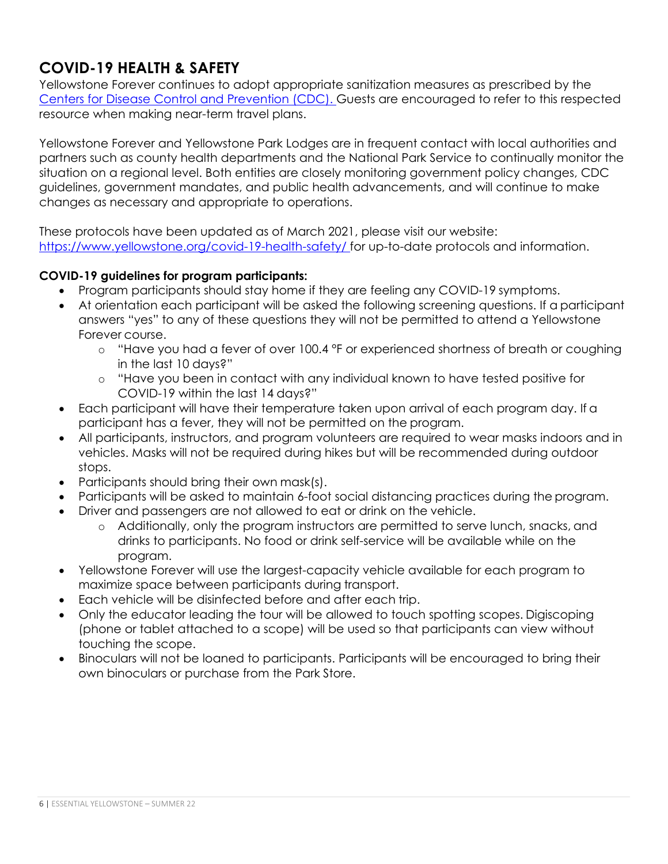# **COVID-19 HEALTH & SAFETY**

Yellowstone Forever continues to adopt appropriate sanitization measures as prescribed by the Centers for Disease Control and Prevention (CDC). Guests are encouraged to refer to this respected resource when making near-term travel plans.

Yellowstone Forever and Yellowstone Park Lodges are in frequent contact with local authorities and partners such as county health departments and the National Park Service to continually monitor the situation on a regional level. Both entities are closely monitoring government policy changes, CDC guidelines, government mandates, and public health advancements, and will continue to make changes as necessary and appropriate to operations.

These protocols have been updated as of March 2021, please visit our website: https://www.yellowstone.org/covid-19-health-safety/ for up-to-date protocols and information.

### **COVID-19 guidelines for program participants:**

- Program participants should stay home if they are feeling any COVID-19 symptoms.
- At orientation each participant will be asked the following screening questions. If a participant answers "yes" to any of these questions they will not be permitted to attend a Yellowstone Forever course.
	- $\circ$  "Have you had a fever of over 100.4  $\degree$ F or experienced shortness of breath or coughing in the last 10 days?"
	- o "Have you been in contact with any individual known to have tested positive for COVID-19 within the last 14 days?"
- Each participant will have their temperature taken upon arrival of each program day. If a participant has a fever, they will not be permitted on the program.
- All participants, instructors, and program volunteers are required to wear masks indoors and in vehicles. Masks will not be required during hikes but will be recommended during outdoor stops.
- Participants should bring their own mask(s).
- Participants will be asked to maintain 6-foot social distancing practices during the program.
- Driver and passengers are not allowed to eat or drink on the vehicle.
	- o Additionally, only the program instructors are permitted to serve lunch, snacks, and drinks to participants. No food or drink self-service will be available while on the program.
- Yellowstone Forever will use the largest-capacity vehicle available for each program to maximize space between participants during transport.
- Each vehicle will be disinfected before and after each trip.
- Only the educator leading the tour will be allowed to touch spotting scopes. Digiscoping (phone or tablet attached to a scope) will be used so that participants can view without touching the scope.
- Binoculars will not be loaned to participants. Participants will be encouraged to bring their own binoculars or purchase from the Park Store.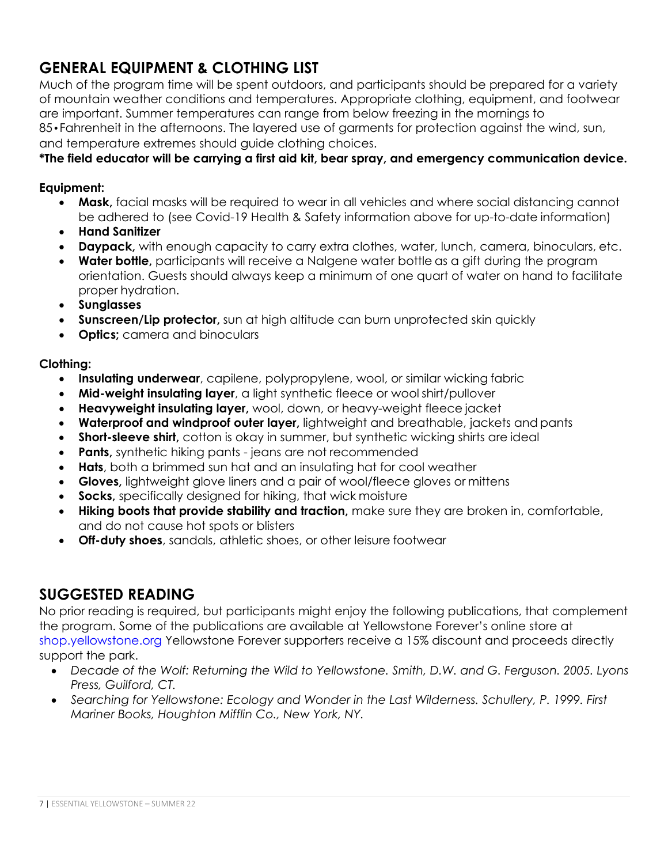# **GENERAL EQUIPMENT & CLOTHING LIST**

Much of the program time will be spent outdoors, and participants should be prepared for a variety of mountain weather conditions and temperatures. Appropriate clothing, equipment, and footwear are important. Summer temperatures can range from below freezing in the mornings to 85•Fahrenheit in the afternoons. The layered use of garments for protection against the wind, sun, and temperature extremes should guide clothing choices.

## **\*The field educator will be carrying a first aid kit, bear spray, and emergency communication device.**

### **Equipment:**

- **Mask,** facial masks will be required to wear in all vehicles and where social distancing cannot be adhered to (see Covid-19 Health & Safety information above for up-to-date information)
- **Hand Sanitizer**
- **Daypack,** with enough capacity to carry extra clothes, water, lunch, camera, binoculars, etc.
- **Water bottle,** participants will receive a Nalgene water bottle as a gift during the program orientation. Guests should always keep a minimum of one quart of water on hand to facilitate proper hydration.
- **Sunglasses**
- **Sunscreen/Lip protector,** sun at high altitude can burn unprotected skin quickly
- **Optics**; camera and binoculars

### **Clothing:**

- **Insulating underwear**, capilene, polypropylene, wool, or similar wicking fabric
- **Mid-weight insulating layer**, a light synthetic fleece or wool shirt/pullover
- **Heavyweight insulating layer,** wool, down, or heavy-weight fleece jacket
- **Waterproof and windproof outer layer,** lightweight and breathable, jackets and pants
- **Short-sleeve shirt,** cotton is okay in summer, but synthetic wicking shirts are ideal
- **Pants, synthetic hiking pants jeans are not recommended**
- **Hats**, both a brimmed sun hat and an insulating hat for cool weather
- **Gloves,** lightweight glove liners and a pair of wool/fleece gloves or mittens
- **Socks,** specifically designed for hiking, that wick moisture
- **Hiking boots that provide stability and traction,** make sure they are broken in, comfortable, and do not cause hot spots or blisters
- **Off-duty shoes**, sandals, athletic shoes, or other leisure footwear

## **SUGGESTED READING**

No prior reading is required, but participants might enjoy the following publications, that complement the program. Some of the publications are available at Yellowstone Forever's online store at shop.yellowstone.org Yellowstone Forever supporters receive a 15% discount and proceeds directly support the park.

- *Decade of the Wolf: Returning the Wild to Yellowstone. Smith, D.W. and G. Ferguson. 2005. Lyons Press, Guilford, CT.*
- *Searching for Yellowstone: Ecology and Wonder in the Last Wilderness. Schullery, P. 1999. First Mariner Books, Houghton Mifflin Co., New York, NY.*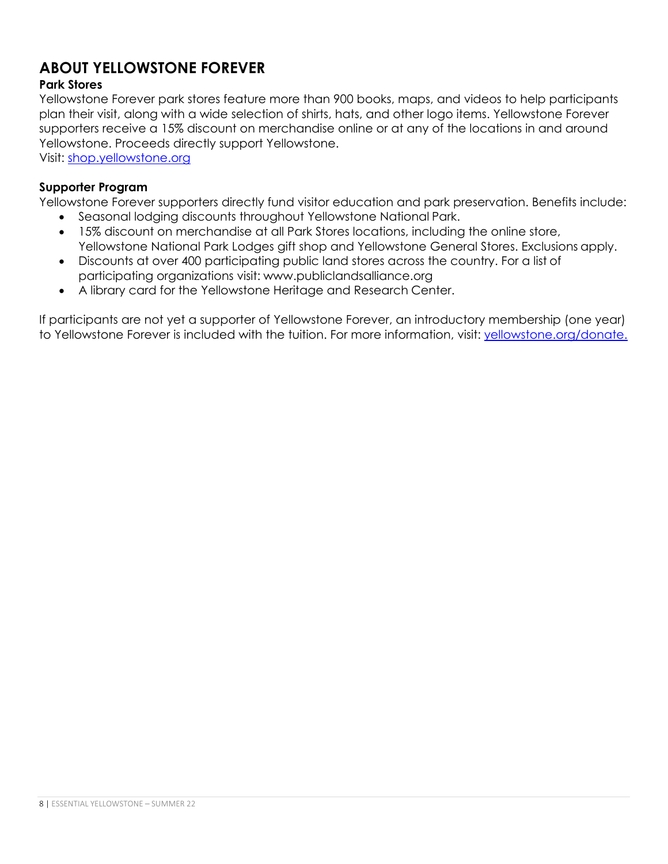# **ABOUT YELLOWSTONE FOREVER**

### **Park Stores**

Yellowstone Forever park stores feature more than 900 books, maps, and videos to help participants plan their visit, along with a wide selection of shirts, hats, and other logo items. Yellowstone Forever supporters receive a 15% discount on merchandise online or at any of the locations in and around Yellowstone. Proceeds directly support Yellowstone.

Visit: shop.yellowstone.org

### **Supporter Program**

Yellowstone Forever supporters directly fund visitor education and park preservation. Benefits include:

- Seasonal lodging discounts throughout Yellowstone National Park.
- 15% discount on merchandise at all Park Stores locations, including the online store, Yellowstone National Park Lodges gift shop and Yellowstone General Stores. Exclusions apply.
- Discounts at over 400 participating public land stores across the country. For a list of participating organizations visit: www.publiclandsalliance.org
- A library card for the Yellowstone Heritage and Research Center.

If participants are not yet a supporter of Yellowstone Forever, an introductory membership (one year) to Yellowstone Forever is included with the tuition. For more information, visit: yellowstone.org/donate.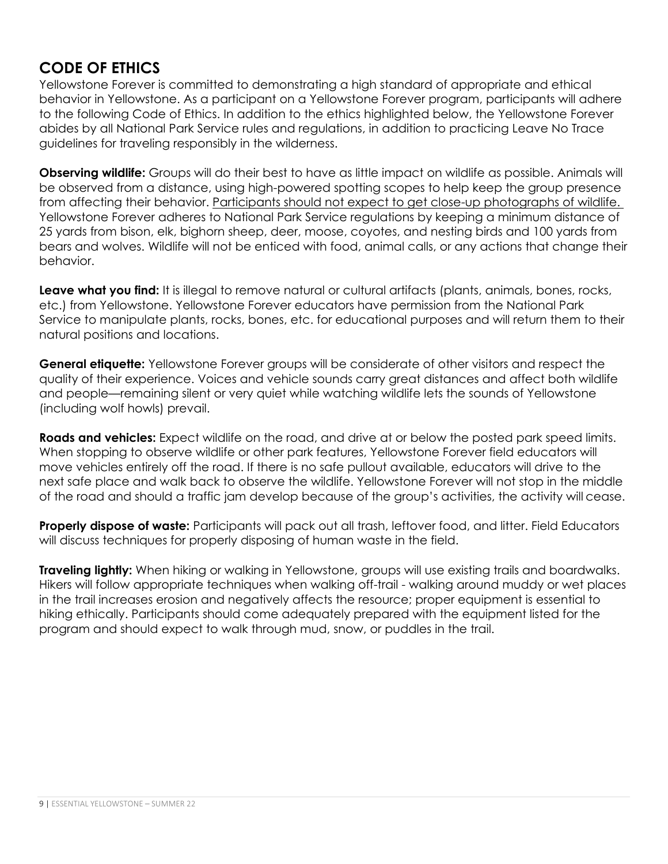## **CODE OF ETHICS**

Yellowstone Forever is committed to demonstrating a high standard of appropriate and ethical behavior in Yellowstone. As a participant on a Yellowstone Forever program, participants will adhere to the following Code of Ethics. In addition to the ethics highlighted below, the Yellowstone Forever abides by all National Park Service rules and regulations, in addition to practicing Leave No Trace guidelines for traveling responsibly in the wilderness.

**Observing wildlife:** Groups will do their best to have as little impact on wildlife as possible. Animals will be observed from a distance, using high-powered spotting scopes to help keep the group presence from affecting their behavior. Participants should not expect to get close-up photographs of wildlife. Yellowstone Forever adheres to National Park Service regulations by keeping a minimum distance of 25 yards from bison, elk, bighorn sheep, deer, moose, coyotes, and nesting birds and 100 yards from bears and wolves. Wildlife will not be enticed with food, animal calls, or any actions that change their behavior.

**Leave what you find:** It is illegal to remove natural or cultural artifacts (plants, animals, bones, rocks, etc.) from Yellowstone. Yellowstone Forever educators have permission from the National Park Service to manipulate plants, rocks, bones, etc. for educational purposes and will return them to their natural positions and locations.

**General etiquette:** Yellowstone Forever groups will be considerate of other visitors and respect the quality of their experience. Voices and vehicle sounds carry great distances and affect both wildlife and people—remaining silent or very quiet while watching wildlife lets the sounds of Yellowstone (including wolf howls) prevail.

**Roads and vehicles:** Expect wildlife on the road, and drive at or below the posted park speed limits. When stopping to observe wildlife or other park features, Yellowstone Forever field educators will move vehicles entirely off the road. If there is no safe pullout available, educators will drive to the next safe place and walk back to observe the wildlife. Yellowstone Forever will not stop in the middle of the road and should a traffic jam develop because of the group's activities, the activity will cease.

**Properly dispose of waste:** Participants will pack out all trash, leftover food, and litter. Field Educators will discuss techniques for properly disposing of human waste in the field.

**Traveling lightly:** When hiking or walking in Yellowstone, groups will use existing trails and boardwalks. Hikers will follow appropriate techniques when walking off-trail - walking around muddy or wet places in the trail increases erosion and negatively affects the resource; proper equipment is essential to hiking ethically. Participants should come adequately prepared with the equipment listed for the program and should expect to walk through mud, snow, or puddles in the trail.